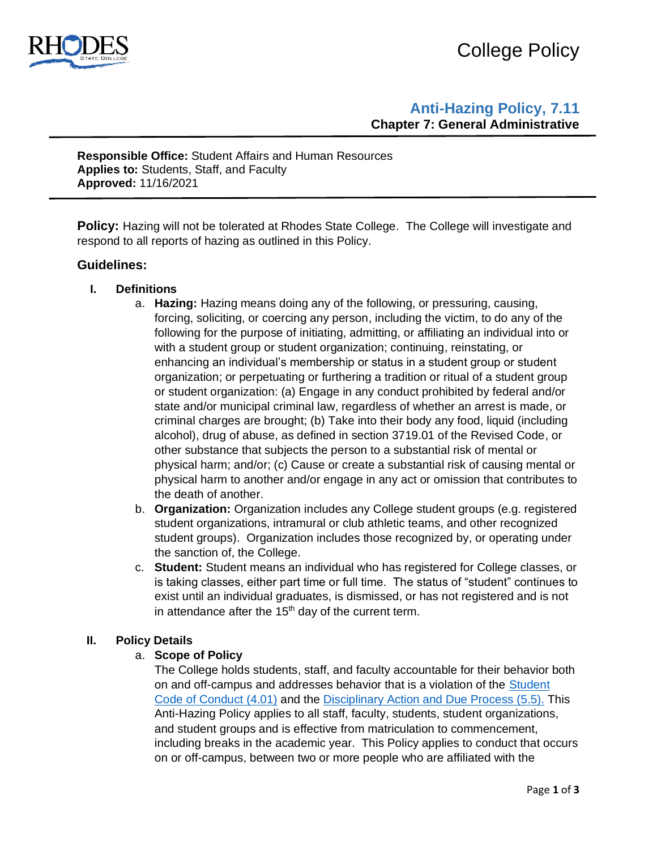

# College Policy

## **Anti-Hazing Policy, 7.11 Chapter 7: General Administrative**

**Responsible Office:** Student Affairs and Human Resources **Applies to:** Students, Staff, and Faculty **Approved:** 11/16/2021

**Policy:** Hazing will not be tolerated at Rhodes State College. The College will investigate and respond to all reports of hazing as outlined in this Policy.

### **Guidelines:**

- **I. Definitions** 
	- a. **Hazing:** Hazing means doing any of the following, or pressuring, causing, forcing, soliciting, or coercing any person, including the victim, to do any of the following for the purpose of initiating, admitting, or affiliating an individual into or with a student group or student organization; continuing, reinstating, or enhancing an individual's membership or status in a student group or student organization; or perpetuating or furthering a tradition or ritual of a student group or student organization: (a) Engage in any conduct prohibited by federal and/or state and/or municipal criminal law, regardless of whether an arrest is made, or criminal charges are brought; (b) Take into their body any food, liquid (including alcohol), drug of abuse, as defined in section 3719.01 of the Revised Code, or other substance that subjects the person to a substantial risk of mental or physical harm; and/or; (c) Cause or create a substantial risk of causing mental or physical harm to another and/or engage in any act or omission that contributes to the death of another.
	- b. **Organization:** Organization includes any College student groups (e.g. registered student organizations, intramural or club athletic teams, and other recognized student groups). Organization includes those recognized by, or operating under the sanction of, the College.
	- c. **Student:** Student means an individual who has registered for College classes, or is taking classes, either part time or full time. The status of "student" continues to exist until an individual graduates, is dismissed, or has not registered and is not in attendance after the  $15<sup>th</sup>$  day of the current term.

#### **II. Policy Details**

#### a. **Scope of Policy**

The College holds students, staff, and faculty accountable for their behavior both on and off-campus and addresses behavior that is a violation of the [Student](https://www.rhodesstate.edu/_files/documents/policies-and-procedures/student-code-of-conduct-policy.pdf)  [Code of Conduct](https://www.rhodesstate.edu/_files/documents/policies-and-procedures/student-code-of-conduct-policy.pdf) (4.01) and the [Disciplinary Action and Due Process](https://www.rhodesstate.edu/_files/documents/policies-and-procedures/disciplinary-action-and-due-process.pdf) (5.5). This Anti-Hazing Policy applies to all staff, faculty, students, student organizations, and student groups and is effective from matriculation to commencement, including breaks in the academic year. This Policy applies to conduct that occurs on or off-campus, between two or more people who are affiliated with the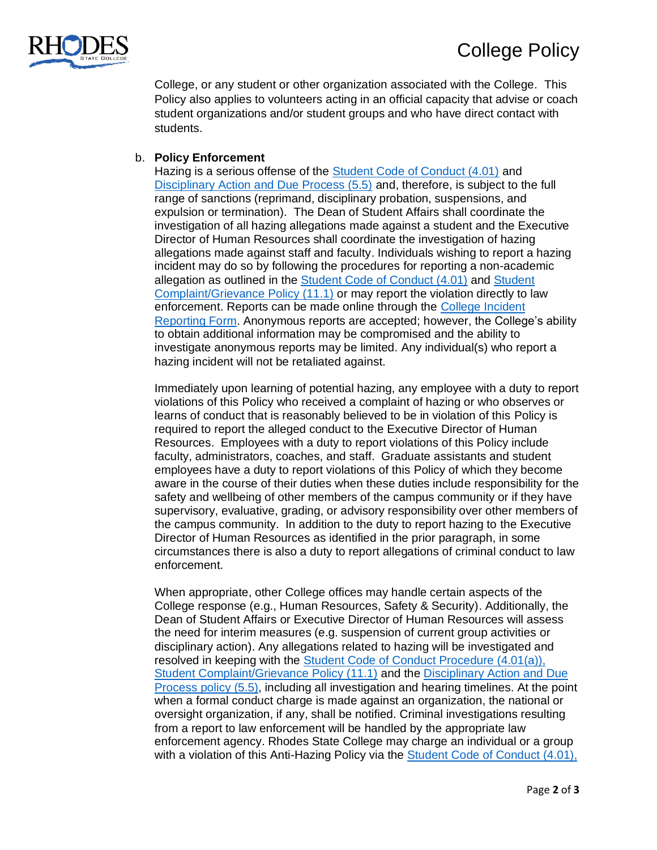

College, or any student or other organization associated with the College. This Policy also applies to volunteers acting in an official capacity that advise or coach student organizations and/or student groups and who have direct contact with students.

#### b. **Policy Enforcement**

Hazing is a serious offense of the [Student Code of Conduct \(4.01\)](https://www.rhodesstate.edu/_files/documents/policies-and-procedures/student-code-of-conduct-policy.pdf) and [Disciplinary Action and Due Process \(5.5\)](https://www.rhodesstate.edu/_files/documents/policies-and-procedures/disciplinary-action-and-due-process.pdf) and, therefore, is subject to the full range of sanctions (reprimand, disciplinary probation, suspensions, and expulsion or termination). The Dean of Student Affairs shall coordinate the investigation of all hazing allegations made against a student and the Executive Director of Human Resources shall coordinate the investigation of hazing allegations made against staff and faculty. Individuals wishing to report a hazing incident may do so by following the procedures for reporting a non-academic allegation as outlined in the [Student Code of Conduct](https://www.rhodesstate.edu/_files/documents/policies-and-procedures/student-code-of-conduct-policy.pdf) (4.01) and [Student](https://www.rhodesstate.edu/human-resources/student-complaint-grievance-policy-bot-12-15-15.pdf)  [Complaint/Grievance Policy \(11.1\)](https://www.rhodesstate.edu/human-resources/student-complaint-grievance-policy-bot-12-15-15.pdf) or may report the violation directly to law enforcement. Reports can be made online through the [College Incident](https://cm.maxient.com/reportingform.php?RhodesStateCollege&layout_id=10)  [Reporting Form.](https://cm.maxient.com/reportingform.php?RhodesStateCollege&layout_id=10) Anonymous reports are accepted; however, the College's ability to obtain additional information may be compromised and the ability to investigate anonymous reports may be limited. Any individual(s) who report a hazing incident will not be retaliated against.

Immediately upon learning of potential hazing, any employee with a duty to report violations of this Policy who received a complaint of hazing or who observes or learns of conduct that is reasonably believed to be in violation of this Policy is required to report the alleged conduct to the Executive Director of Human Resources. Employees with a duty to report violations of this Policy include faculty, administrators, coaches, and staff. Graduate assistants and student employees have a duty to report violations of this Policy of which they become aware in the course of their duties when these duties include responsibility for the safety and wellbeing of other members of the campus community or if they have supervisory, evaluative, grading, or advisory responsibility over other members of the campus community. In addition to the duty to report hazing to the Executive Director of Human Resources as identified in the prior paragraph, in some circumstances there is also a duty to report allegations of criminal conduct to law enforcement.

When appropriate, other College offices may handle certain aspects of the College response (e.g., Human Resources, Safety & Security). Additionally, the Dean of Student Affairs or Executive Director of Human Resources will assess the need for interim measures (e.g. suspension of current group activities or disciplinary action). Any allegations related to hazing will be investigated and resolved in keeping with the [Student Code of Conduct Procedure](https://www.rhodesstate.edu/human-resources/student-code-of-conduct-procedure-4.01a-revised-3.16.21.pdf) (4.01(a)), [Student Complaint/Grievance Policy \(11.1\)](https://www.rhodesstate.edu/human-resources/student-complaint-grievance-policy-bot-12-15-15.pdf) and the [Disciplinary Action and Due](https://www.rhodesstate.edu/_files/documents/policies-and-procedures/disciplinary-action-and-due-process.pdf)  [Process policy](https://www.rhodesstate.edu/_files/documents/policies-and-procedures/disciplinary-action-and-due-process.pdf) (5.5), including all investigation and hearing timelines. At the point when a formal conduct charge is made against an organization, the national or oversight organization, if any, shall be notified. Criminal investigations resulting from a report to law enforcement will be handled by the appropriate law enforcement agency. Rhodes State College may charge an individual or a group with a violation of this Anti-Hazing Policy via the [Student Code of Conduct](https://www.rhodesstate.edu/_files/documents/policies-and-procedures/student-code-of-conduct-policy.pdf) (4.01),